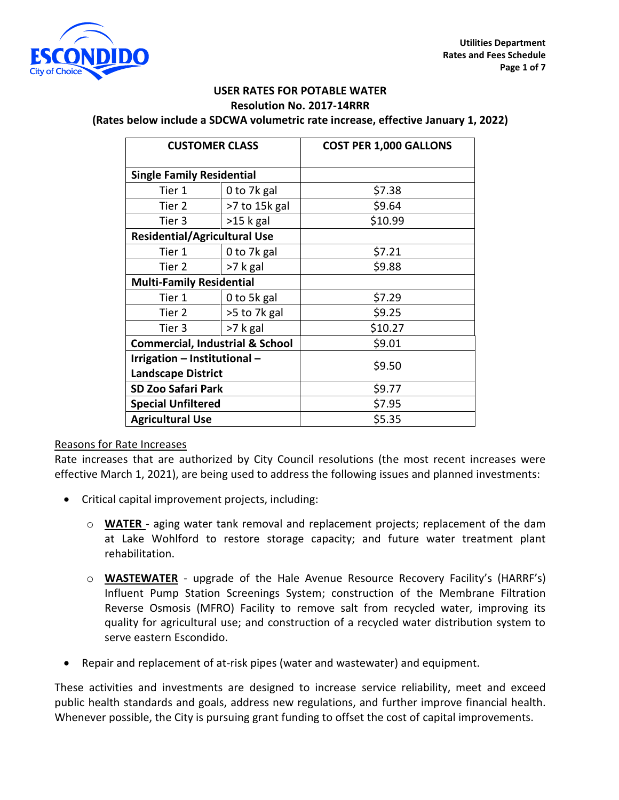

#### **USER RATES FOR POTABLE WATER Resolution No. 2017-14RRR**

**(Rates below include a SDCWA volumetric rate increase, effective January 1, 2022)**

| <b>CUSTOMER CLASS</b>                      |               | <b>COST PER 1,000 GALLONS</b> |
|--------------------------------------------|---------------|-------------------------------|
| <b>Single Family Residential</b>           |               |                               |
| Tier 1                                     | 0 to 7k gal   | \$7.38                        |
| Tier 2                                     | >7 to 15k gal | \$9.64                        |
| Tier 3                                     | $>15$ k gal   | \$10.99                       |
| <b>Residential/Agricultural Use</b>        |               |                               |
| Tier 1                                     | 0 to 7k gal   | \$7.21                        |
| Tier 2                                     | >7 k gal      | \$9.88                        |
| <b>Multi-Family Residential</b>            |               |                               |
| Tier 1                                     | 0 to 5k gal   | \$7.29                        |
| Tier 2                                     | >5 to 7k gal  | \$9.25                        |
| Tier 3                                     | >7 k gal      | \$10.27                       |
| <b>Commercial, Industrial &amp; School</b> |               | \$9.01                        |
| Irrigation - Institutional -               |               | \$9.50                        |
| <b>Landscape District</b>                  |               |                               |
| <b>SD Zoo Safari Park</b>                  |               | \$9.77                        |
| <b>Special Unfiltered</b>                  |               | \$7.95                        |
| <b>Agricultural Use</b>                    |               | \$5.35                        |

### Reasons for Rate Increases

Rate increases that are authorized by City Council resolutions (the most recent increases were effective March 1, 2021), are being used to address the following issues and planned investments:

- Critical capital improvement projects, including:
	- o **WATER** aging water tank removal and replacement projects; replacement of the dam at Lake Wohlford to restore storage capacity; and future water treatment plant rehabilitation.
	- o **WASTEWATER** upgrade of the Hale Avenue Resource Recovery Facility's (HARRF's) Influent Pump Station Screenings System; construction of the Membrane Filtration Reverse Osmosis (MFRO) Facility to remove salt from recycled water, improving its quality for agricultural use; and construction of a recycled water distribution system to serve eastern Escondido.
- Repair and replacement of at-risk pipes (water and wastewater) and equipment.

These activities and investments are designed to increase service reliability, meet and exceed public health standards and goals, address new regulations, and further improve financial health. Whenever possible, the City is pursuing grant funding to offset the cost of capital improvements.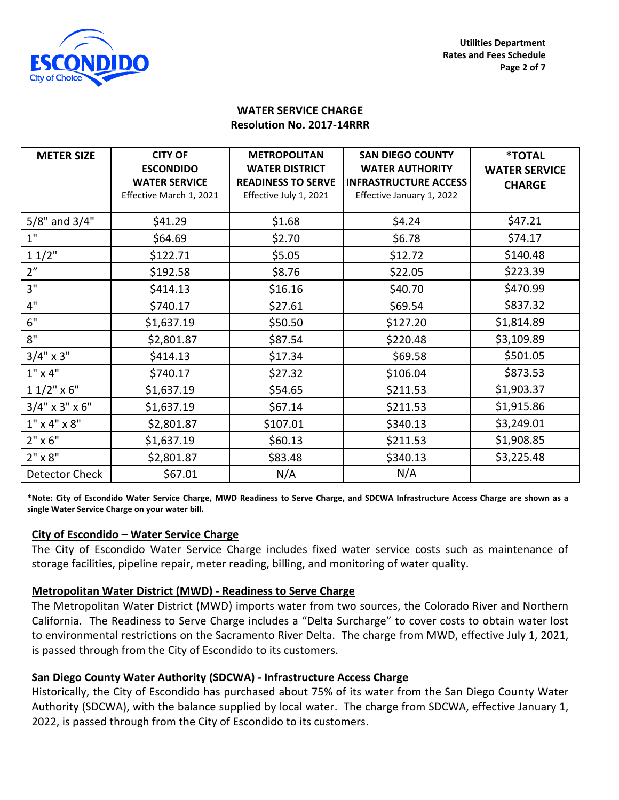

### **WATER SERVICE CHARGE Resolution No. 2017-14RRR**

| <b>METER SIZE</b>        | <b>CITY OF</b>          | <b>METROPOLITAN</b>       | <b>SAN DIEGO COUNTY</b>      | <b>*TOTAL</b>        |
|--------------------------|-------------------------|---------------------------|------------------------------|----------------------|
|                          | <b>ESCONDIDO</b>        | <b>WATER DISTRICT</b>     | <b>WATER AUTHORITY</b>       | <b>WATER SERVICE</b> |
|                          | <b>WATER SERVICE</b>    | <b>READINESS TO SERVE</b> | <b>INFRASTRUCTURE ACCESS</b> | <b>CHARGE</b>        |
|                          | Effective March 1, 2021 | Effective July 1, 2021    | Effective January 1, 2022    |                      |
| $5/8"$ and $3/4"$        | \$41.29                 | \$1.68                    | \$4.24                       | \$47.21              |
| 1"                       | \$64.69                 | \$2.70                    | \$6.78                       | \$74.17              |
| 11/2"                    | \$122.71                | \$5.05                    | \$12.72                      | \$140.48             |
| 2 <sup>n</sup>           | \$192.58                | \$8.76                    | \$22.05                      | \$223.39             |
| 3"                       | \$414.13                | \$16.16                   | \$40.70                      | \$470.99             |
| 4"                       | \$740.17                | \$27.61                   | \$69.54                      | \$837.32             |
| 6"                       | \$1,637.19              | \$50.50                   | \$127.20                     | \$1,814.89           |
| 8"                       | \$2,801.87              | \$87.54                   | \$220.48                     | \$3,109.89           |
| $3/4$ " x 3"             | \$414.13                | \$17.34                   | \$69.58                      | \$501.05             |
| $1" \times 4"$           | \$740.17                | \$27.32                   | \$106.04                     | \$873.53             |
| $11/2$ " x 6"            | \$1,637.19              | \$54.65                   | \$211.53                     | \$1,903.37           |
| $3/4$ " x 3" x 6"        | \$1,637.19              | \$67.14                   | \$211.53                     | \$1,915.86           |
| $1" \times 4" \times 8"$ | \$2,801.87              | \$107.01                  | \$340.13                     | \$3,249.01           |
| $2" \times 6"$           | \$1,637.19              | \$60.13                   | \$211.53                     | \$1,908.85           |
| $2" \times 8"$           | \$2,801.87              | \$83.48                   | \$340.13                     | \$3,225.48           |
| Detector Check           | \$67.01                 | N/A                       | N/A                          |                      |

**\*Note: City of Escondido Water Service Charge, MWD Readiness to Serve Charge, and SDCWA Infrastructure Access Charge are shown as a single Water Service Charge on your water bill.**

### **City of Escondido – Water Service Charge**

The City of Escondido Water Service Charge includes fixed water service costs such as maintenance of storage facilities, pipeline repair, meter reading, billing, and monitoring of water quality.

### **Metropolitan Water District (MWD) - Readiness to Serve Charge**

The Metropolitan Water District (MWD) imports water from two sources, the Colorado River and Northern California. The Readiness to Serve Charge includes a "Delta Surcharge" to cover costs to obtain water lost to environmental restrictions on the Sacramento River Delta. The charge from MWD, effective July 1, 2021, is passed through from the City of Escondido to its customers.

# **San Diego County Water Authority (SDCWA) - Infrastructure Access Charge**

Historically, the City of Escondido has purchased about 75% of its water from the San Diego County Water Authority (SDCWA), with the balance supplied by local water. The charge from SDCWA, effective January 1, 2022, is passed through from the City of Escondido to its customers.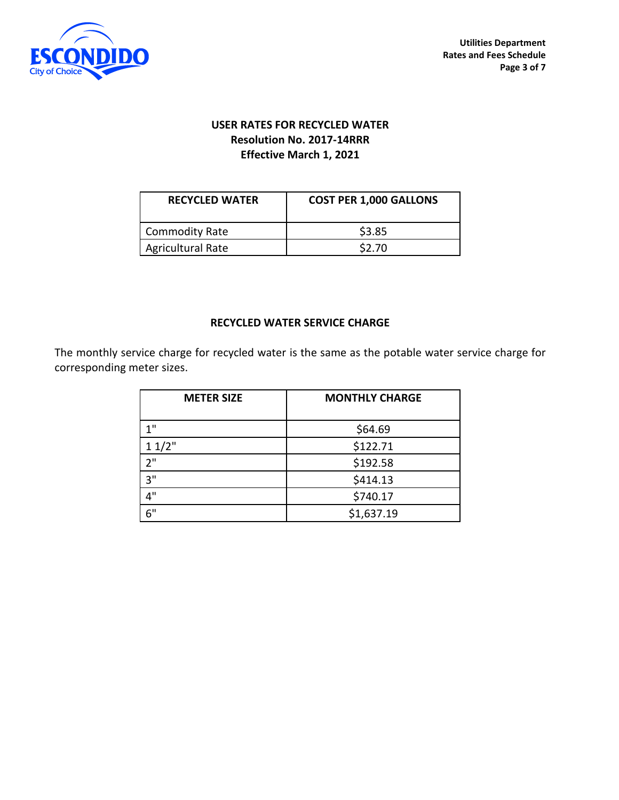

# **USER RATES FOR RECYCLED WATER Resolution No. 2017-14RRR Effective March 1, 2021**

| <b>RECYCLED WATER</b>    | <b>COST PER 1,000 GALLONS</b> |
|--------------------------|-------------------------------|
| Commodity Rate           | \$3.85                        |
| <b>Agricultural Rate</b> | \$2.70                        |

### **RECYCLED WATER SERVICE CHARGE**

The monthly service charge for recycled water is the same as the potable water service charge for corresponding meter sizes.

| <b>METER SIZE</b> | <b>MONTHLY CHARGE</b> |
|-------------------|-----------------------|
| 1"                | \$64.69               |
| 11/2"             | \$122.71              |
| 2"                | \$192.58              |
| 3"                | \$414.13              |
| ⊿"                | \$740.17              |
| 6"                | \$1,637.19            |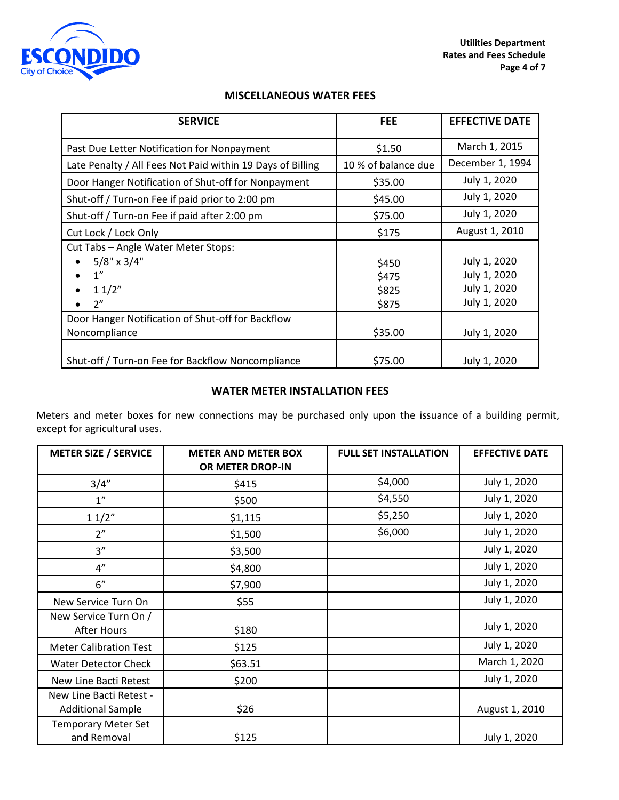

### **MISCELLANEOUS WATER FEES**

| <b>SERVICE</b>                                             | <b>FEE</b>          | <b>EFFECTIVE DATE</b> |
|------------------------------------------------------------|---------------------|-----------------------|
| Past Due Letter Notification for Nonpayment                | \$1.50              | March 1, 2015         |
| Late Penalty / All Fees Not Paid within 19 Days of Billing | 10 % of balance due | December 1, 1994      |
| Door Hanger Notification of Shut-off for Nonpayment        | \$35.00             | July 1, 2020          |
| Shut-off / Turn-on Fee if paid prior to 2:00 pm            | \$45.00             | July 1, 2020          |
| Shut-off / Turn-on Fee if paid after 2:00 pm               | \$75.00             | July 1, 2020          |
| Cut Lock / Lock Only                                       | \$175               | August 1, 2010        |
| Cut Tabs - Angle Water Meter Stops:                        |                     |                       |
| $5/8" \times 3/4"$                                         | \$450               | July 1, 2020          |
| 1''                                                        | \$475               | July 1, 2020          |
| 11/2"                                                      | \$825               | July 1, 2020          |
| 2"                                                         | \$875               | July 1, 2020          |
| Door Hanger Notification of Shut-off for Backflow          |                     |                       |
| Noncompliance                                              | \$35.00             | July 1, 2020          |
|                                                            |                     |                       |
| Shut-off / Turn-on Fee for Backflow Noncompliance          | \$75.00             | July 1, 2020          |

### **WATER METER INSTALLATION FEES**

Meters and meter boxes for new connections may be purchased only upon the issuance of a building permit, except for agricultural uses.

| <b>METER SIZE / SERVICE</b>                         | <b>METER AND METER BOX</b><br>OR METER DROP-IN | <b>FULL SET INSTALLATION</b> | <b>EFFECTIVE DATE</b> |
|-----------------------------------------------------|------------------------------------------------|------------------------------|-----------------------|
| 3/4''                                               | \$415                                          | \$4,000                      | July 1, 2020          |
| 1"                                                  | \$500                                          | \$4,550                      | July 1, 2020          |
| 11/2"                                               | \$1,115                                        | \$5,250                      | July 1, 2020          |
| 2 <sup>n</sup>                                      | \$1,500                                        | \$6,000                      | July 1, 2020          |
| 3''                                                 | \$3,500                                        |                              | July 1, 2020          |
| 4"                                                  | \$4,800                                        |                              | July 1, 2020          |
| 6"                                                  | \$7,900                                        |                              | July 1, 2020          |
| New Service Turn On                                 | \$55                                           |                              | July 1, 2020          |
| New Service Turn On /<br>After Hours                | \$180                                          |                              | July 1, 2020          |
| <b>Meter Calibration Test</b>                       | \$125                                          |                              | July 1, 2020          |
| <b>Water Detector Check</b>                         | \$63.51                                        |                              | March 1, 2020         |
| New Line Bacti Retest                               | \$200                                          |                              | July 1, 2020          |
| New Line Bacti Retest -<br><b>Additional Sample</b> | \$26                                           |                              | August 1, 2010        |
| <b>Temporary Meter Set</b><br>and Removal           | \$125                                          |                              | July 1, 2020          |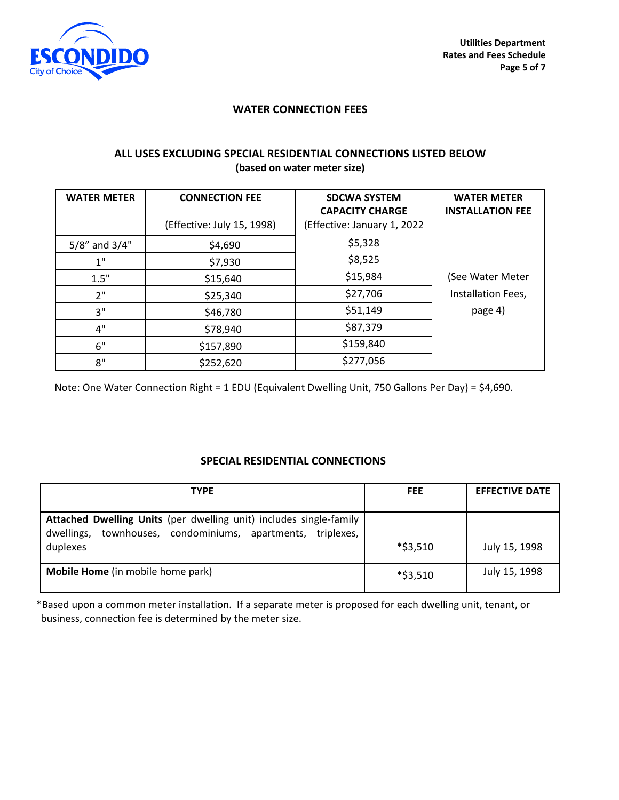

#### **WATER CONNECTION FEES**

### **ALL USES EXCLUDING SPECIAL RESIDENTIAL CONNECTIONS LISTED BELOW (based on water meter size)**

| <b>WATER METER</b>  | <b>CONNECTION FEE</b>      | <b>SDCWA SYSTEM</b><br><b>CAPACITY CHARGE</b> | <b>WATER METER</b><br><b>INSTALLATION FEE</b> |
|---------------------|----------------------------|-----------------------------------------------|-----------------------------------------------|
|                     | (Effective: July 15, 1998) | (Effective: January 1, 2022                   |                                               |
| $5/8$ " and $3/4$ " | \$4,690                    | \$5,328                                       |                                               |
| 1"                  | \$7,930                    | \$8,525                                       |                                               |
| 1.5"                | \$15,640                   | \$15,984                                      | (See Water Meter                              |
| 2"                  | \$25,340                   | \$27,706                                      | Installation Fees,                            |
| 3"                  | \$46,780                   | \$51,149                                      | page 4)                                       |
| 4"                  | \$78,940                   | \$87,379                                      |                                               |
| 6"                  | \$157,890                  | \$159,840                                     |                                               |
| 8"                  | \$252,620                  | \$277,056                                     |                                               |

Note: One Water Connection Right = 1 EDU (Equivalent Dwelling Unit, 750 Gallons Per Day) = \$4,690.

### **SPECIAL RESIDENTIAL CONNECTIONS**

| <b>TYPE</b>                                                                                                                             | <b>FEE</b> | <b>EFFECTIVE DATE</b> |
|-----------------------------------------------------------------------------------------------------------------------------------------|------------|-----------------------|
| Attached Dwelling Units (per dwelling unit) includes single-family<br>townhouses, condominiums, apartments,<br>triplexes,<br>dwellings, |            |                       |
| duplexes                                                                                                                                | *\$3,510   | July 15, 1998         |
| Mobile Home (in mobile home park)                                                                                                       | *\$3,510   | July 15, 1998         |

\*Based upon a common meter installation. If a separate meter is proposed for each dwelling unit, tenant, or business, connection fee is determined by the meter size.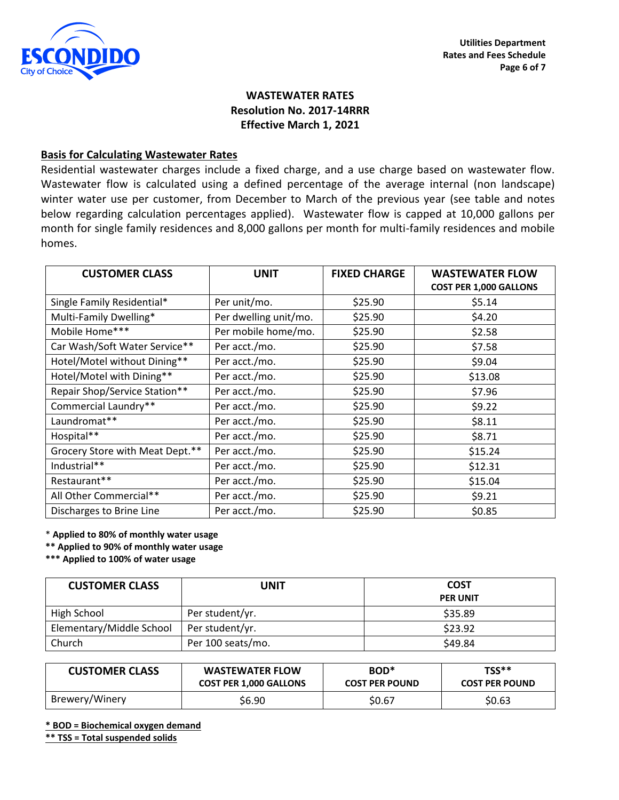

# **WASTEWATER RATES Resolution No. 2017-14RRR Effective March 1, 2021**

#### **Basis for Calculating Wastewater Rates**

Residential wastewater charges include a fixed charge, and a use charge based on wastewater flow. Wastewater flow is calculated using a defined percentage of the average internal (non landscape) winter water use per customer, from December to March of the previous year (see table and notes below regarding calculation percentages applied). Wastewater flow is capped at 10,000 gallons per month for single family residences and 8,000 gallons per month for multi-family residences and mobile homes.

| <b>CUSTOMER CLASS</b>           | <b>UNIT</b>           | <b>FIXED CHARGE</b> | <b>WASTEWATER FLOW</b><br><b>COST PER 1,000 GALLONS</b> |
|---------------------------------|-----------------------|---------------------|---------------------------------------------------------|
| Single Family Residential*      | Per unit/mo.          | \$25.90             | \$5.14                                                  |
| Multi-Family Dwelling*          | Per dwelling unit/mo. | \$25.90             | \$4.20                                                  |
| Mobile Home***                  | Per mobile home/mo.   | \$25.90             | \$2.58                                                  |
| Car Wash/Soft Water Service**   | Per acct./mo.         | \$25.90             | \$7.58                                                  |
| Hotel/Motel without Dining**    | Per acct./mo.         | \$25.90             | \$9.04                                                  |
| Hotel/Motel with Dining**       | Per acct./mo.         | \$25.90             | \$13.08                                                 |
| Repair Shop/Service Station**   | Per acct./mo.         | \$25.90             | \$7.96                                                  |
| Commercial Laundry**            | Per acct./mo.         | \$25.90             | \$9.22                                                  |
| Laundromat**                    | Per acct./mo.         | \$25.90             | \$8.11                                                  |
| Hospital**                      | Per acct./mo.         | \$25.90             | \$8.71                                                  |
| Grocery Store with Meat Dept.** | Per acct./mo.         | \$25.90             | \$15.24                                                 |
| Industrial**                    | Per acct./mo.         | \$25.90             | \$12.31                                                 |
| Restaurant**                    | Per acct./mo.         | \$25.90             | \$15.04                                                 |
| All Other Commercial**          | Per acct./mo.         | \$25.90             | \$9.21                                                  |
| Discharges to Brine Line        | Per acct./mo.         | \$25.90             | \$0.85                                                  |

\* **Applied to 80% of monthly water usage**

**\*\* Applied to 90% of monthly water usage**

**\*\*\* Applied to 100% of water usage**

| <b>CUSTOMER CLASS</b>    | <b>UNIT</b>       | <b>COST</b><br><b>PER UNIT</b> |
|--------------------------|-------------------|--------------------------------|
| High School              | Per student/yr.   | \$35.89                        |
| Elementary/Middle School | Per student/yr.   | \$23.92                        |
| Church                   | Per 100 seats/mo. | \$49.84                        |

| <b>CUSTOMER CLASS</b> | <b>WASTEWATER FLOW</b>        | BOD <sup>*</sup>      | $TSS**$               |
|-----------------------|-------------------------------|-----------------------|-----------------------|
|                       | <b>COST PER 1,000 GALLONS</b> | <b>COST PER POUND</b> | <b>COST PER POUND</b> |
| Brewery/Winery        | \$6.90                        | \$0.67                | \$0.63                |

**\* BOD = Biochemical oxygen demand**

**\*\* TSS = Total suspended solids**